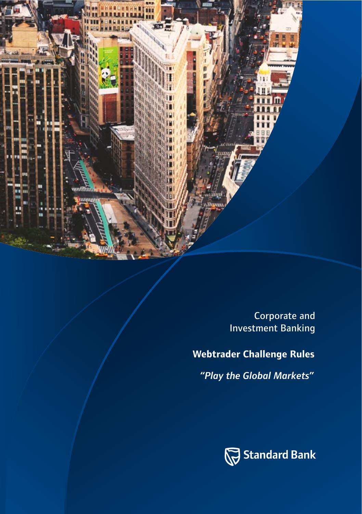

Corporate and Investment Banking

# **Webtrader Challenge Rules**

*"Play the Global Markets"*

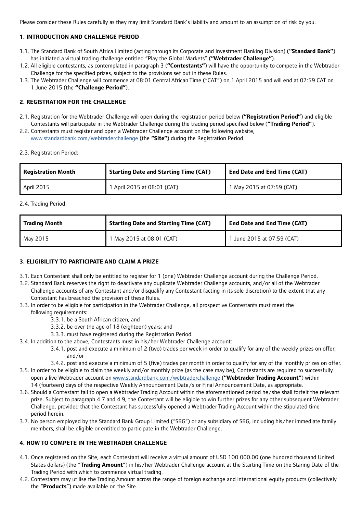Please consider these Rules carefully as they may limit Standard Bank's liability and amount to an assumption of risk by you.

# **1. INTRODUCTION AND CHALLENGE PERIOD**

- 1.1. The Standard Bank of South Africa Limited (acting through its Corporate and Investment Banking Division) (**"Standard Bank"**) has initiated a virtual trading challenge entitled "Play the Global Markets" (**"Webtrader Challenge"**).
- 1.2. All eligible contestants, as contemplated in paragraph 3 (**"Contestants"**) will have the opportunity to compete in the Webtrader Challenge for the specified prizes, subject to the provisions set out in these Rules.
- 1.3. The Webtrader Challenge will commence at 08:01 Central African Time ("CAT") on 1 April 2015 and will end at 07:59 CAT on 1 June 2015 (the **"Challenge Period"**).

# **2. REGISTRATION FOR THE CHALLENGE**

- 2.1. Registration for the Webtrader Challenge will open during the registration period below (**"Registration Period"**) and eligible Contestants will participate in the Webtrader Challenge during the trading period specified below (**"Trading Period"**).
- 2.2. Contestants must register and open a Webtrader Challenge account on the following website, www.standardbank.com/webtraderchallenge (the **"Site"**) during the Registration Period.
- 2.3. Registration Period:

| <b>Registration Month</b> | <b>Starting Date and Starting Time (CAT)</b> | <b>End Date and End Time (CAT)</b> |
|---------------------------|----------------------------------------------|------------------------------------|
| April 2015                | 1 April 2015 at 08:01 (CAT)                  | 1 May 2015 at 07:59 (CAT)          |

2.4. Trading Period:

| <b>Trading Month</b> | Starting Date and Starting Time (CAT) | <b>End Date and End Time (CAT)</b> |
|----------------------|---------------------------------------|------------------------------------|
| May 2015             | 1 May 2015 at 08:01 (CAT)             | 1 June 2015 at 07:59 (CAT)         |

#### **3. ELIGIBILITY TO PARTICIPATE AND CLAIM A PRIZE**

- 3.1. Each Contestant shall only be entitled to register for 1 (one) Webtrader Challenge account during the Challenge Period.
- 3.2. Standard Bank reserves the right to deactivate any duplicate Webtrader Challenge accounts, and/or all of the Webtrader Challenge accounts of any Contestant and/or disqualify any Contestant (acting in its sole discretion) to the extent that any Contestant has breached the provision of these Rules.
- 3.3. In order to be eligible for participation in the Webtrader Challenge, all prospective Contestants must meet the following requirements:
	- 3.3.1. be a South African citizen; and
	- 3.3.2. be over the age of 18 (eighteen) years; and
	- 3.3.3. must have registered during the Registration Period.
- 3.4. In addition to the above, Contestants must in his/her Webtrader Challenge account:
	- 3.4.1. post and execute a minimum of 2 (two) trades per week in order to qualify for any of the weekly prizes on offer; and/or
	- 3.4.2. post and execute a minimum of 5 (five) trades per month in order to qualify for any of the monthly prizes on offer.
- 3.5. In order to be eligible to claim the weekly and/or monthly prize (as the case may be), Contestants are required to successfully open a live Webtrader account on www.standardbank.com/webtraderchallenge (**"Webtrader Trading Account"**) within 14 (fourteen) days of the respective Weekly Announcement Date/s or Final Announcement Date, as appropriate.
- 3.6. Should a Contestant fail to open a Webtrader Trading Account within the aforementioned period he/she shall forfeit the relevant prize. Subject to paragraph 4.7 and 4.9, the Contestant will be eligible to win further prizes for any other subsequent Webtrader Challenge, provided that the Contestant has successfully opened a Webtrader Trading Account within the stipulated time period herein.
- 3.7. No person employed by the Standard Bank Group Limited ("SBG") or any subsidiary of SBG, including his/her immediate family members, shall be eligible or entitled to participate in the Webtrader Challenge.

### **4. HOW TO COMPETE IN THE WEBTRADER CHALLENGE**

- 4.1. Once registered on the Site, each Contestant will receive a virtual amount of USD 100 000.00 (one hundred thousand United States dollars) (the "**Trading Amount**") in his/her Webtrader Challenge account at the Starting Time on the Staring Date of the Trading Period with which to commence virtual trading.
- 4.2. Contestants may utilise the Trading Amount across the range of foreign exchange and international equity products (collectively the "**Products**") made available on the Site.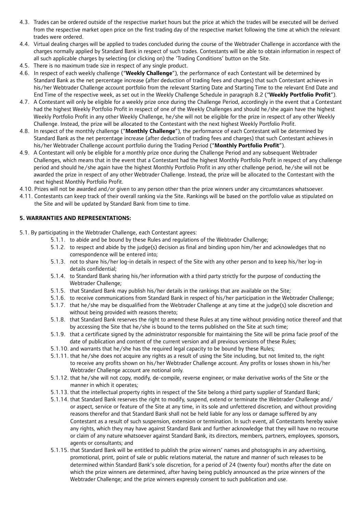- 4.3. Trades can be ordered outside of the respective market hours but the price at which the trades will be executed will be derived from the respective market open price on the first trading day of the respective market following the time at which the relevant trades were ordered.
- 4.4. Virtual dealing charges will be applied to trades concluded during the course of the Webtrader Challenge in accordance with the charges normally applied by Standard Bank in respect of such trades. Contestants will be able to obtain information in respect of all such applicable charges by selecting (or clicking on) the 'Trading Conditions' button on the Site.
- 4.5. There is no maximum trade size in respect of any single product.
- 4.6. In respect of each weekly challenge ("**Weekly Challenge**"), the performance of each Contestant will be determined by Standard Bank as the net percentage increase (after deduction of trading fees and charges) that such Contestant achieves in his/her Webtrader Challenge account portfolio from the relevant Starting Date and Starting Time to the relevant End Date and End Time of the respective week, as set out in the Weekly Challenge Schedule in paragraph 8.2 ("**Weekly Portfolio Profit**").
- 4.7. A Contestant will only be eligible for a weekly prize once during the Challenge Period, accordingly in the event that a Contestant had the highest Weekly Portfolio Profit in respect of one of the Weekly Challenges and should he/she again have the highest Weekly Portfolio Profit in any other Weekly Challenge, he/she will not be eligible for the prize in respect of any other Weekly Challenge. Instead, the prize will be allocated to the Contestant with the next highest Weekly Portfolio Profit.
- 4.8. In respect of the monthly challenge ("**Monthly Challenge**"), the performance of each Contestant will be determined by Standard Bank as the net percentage increase (after deduction of trading fees and charges) that such Contestant achieves in his/her Webtrader Challenge account portfolio during the Trading Period ("**Monthly Portfolio Profit**").
- 4.9. A Contestant will only be eligible for a monthly prize once during the Challenge Period and any subsequent Webtrader Challenges, which means that in the event that a Contestant had the highest Monthly Portfolio Profit in respect of any challenge period and should he/she again have the highest Monthly Portfolio Profit in any other challenge period, he/she will not be awarded the prize in respect of any other Webtrader Challenge. Instead, the prize will be allocated to the Contestant with the next highest Monthly Portfolio Profit.
- 4.10. Prizes will not be awarded and/or given to any person other than the prize winners under any circumstances whatsoever.
- 4.11. Contestants can keep track of their overall ranking via the Site. Rankings will be based on the portfolio value as stipulated on the Site and will be updated by Standard Bank from time to time.

#### **5. WARRANTIES AND REPRESENTATIONS:**

5.1. By participating in the Webtrader Challenge, each Contestant agrees:

- 5.1.1. to abide and be bound by these Rules and regulations of the Webtrader Challenge;
- 5.1.2. to respect and abide by the judge(s) decision as final and binding upon him/her and acknowledges that no correspondence will be entered into;
- 5.1.3. not to share his/her log-in details in respect of the Site with any other person and to keep his/her log-in details confidential;
- 5.1.4. to Standard Bank sharing his/her information with a third party strictly for the purpose of conducting the Webtrader Challenge;
- 5.1.5. that Standard Bank may publish his/her details in the rankings that are available on the Site;
- 5.1.6. to receive communications from Standard Bank in respect of his/her participation in the Webtrader Challenge;
- 5.1.7. that he/she may be disqualified from the Webtrader Challenge at any time at the judge(s) sole discretion and without being provided with reasons thereto;
- 5.1.8. that Standard Bank reserves the right to amend these Rules at any time without providing notice thereof and that by accessing the Site that he/she is bound to the terms published on the Site at such time;
- 5.1.9. that a certificate signed by the administrator responsible for maintaining the Site will be prima facie proof of the date of publication and content of the current version and all previous versions of these Rules;
- 5.1.10. and warrants that he/she has the required legal capacity to be bound by these Rules;
- 5.1.11. that he/she does not acquire any rights as a result of using the Site including, but not limited to, the right to receive any profits shown on his/her Webtrader Challenge account. Any profits or losses shown in his/her Webtrader Challenge account are notional only.
- 5.1.12. that he/she will not copy, modify, de-compile, reverse engineer, or make derivative works of the Site or the manner in which it operates;
- 5.1.13. that the intellectual property rights in respect of the Site belong a third party supplier of Standard Bank;
- 5.1.14. that Standard Bank reserves the right to modify, suspend, extend or terminate the Webtrader Challenge and/ or aspect, service or feature of the Site at any time, in its sole and unfettered discretion, and without providing reasons therefor and that Standard Bank shall not be held liable for any loss or damage suffered by any Contestant as a result of such suspension, extension or termination. In such event, all Contestants hereby waive any rights, which they may have against Standard Bank and further acknowledge that they will have no recourse or claim of any nature whatsoever against Standard Bank, its directors, members, partners, employees, sponsors, agents or consultants; and
- 5.1.15. that Standard Bank will be entitled to publish the prize winners' names and photographs in any advertising, promotional, print, point of sale or public relations material, the nature and manner of such releases to be determined within Standard Bank's sole discretion, for a period of 24 (twenty four) months after the date on which the prize winners are determined, after having being publicly announced as the prize winners of the Webtrader Challenge; and the prize winners expressly consent to such publication and use.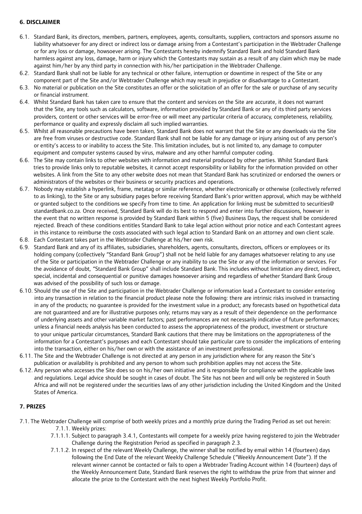### **6. DISCLAIMER**

- 6.1. Standard Bank, its directors, members, partners, employees, agents, consultants, suppliers, contractors and sponsors assume no liability whatsoever for any direct or indirect loss or damage arising from a Contestant's participation in the Webtrader Challenge or for any loss or damage, howsoever arising. The Contestants hereby indemnify Standard Bank and hold Standard Bank harmless against any loss, damage, harm or injury which the Contestants may sustain as a result of any claim which may be made against him/her by any third party in connection with his/her participation in the Webtrader Challenge.
- 6.2. Standard Bank shall not be liable for any technical or other failure, interruption or downtime in respect of the Site or any component part of the Site and/or Webtrader Challenge which may result in prejudice or disadvantage to a Contestant.
- 6.3. No material or publication on the Site constitutes an offer or the solicitation of an offer for the sale or purchase of any security or financial instrument.
- 6.4. Whilst Standard Bank has taken care to ensure that the content and services on the Site are accurate, it does not warrant that the Site, any tools such as calculators, software, information provided by Standard Bank or any of its third party services providers, content or other services will be error-free or will meet any particular criteria of accuracy, completeness, reliability, performance or quality and expressly disclaim all such implied warranties.
- 6.5. Whilst all reasonable precautions have been taken, Standard Bank does not warrant that the Site or any downloads via the Site are free from viruses or destructive code. Standard Bank shall not be liable for any damage or injury arising out of any person's or entity's access to or inability to access the Site. This limitation includes, but is not limited to, any damage to computer equipment and computer systems caused by virus, malware and any other harmful computer coding.
- 6.6. The Site may contain links to other websites with information and material produced by other parties. Whilst Standard Bank tries to provide links only to reputable websites, it cannot accept responsibility or liability for the information provided on other websites. A link from the Site to any other website does not mean that Standard Bank has scrutinized or endorsed the owners or administrators of the websites or their business or security practices and operations.
- 6.7. Nobody may establish a hyperlink, frame, metatag or similar reference, whether electronically or otherwise (collectively referred to as linking), to the Site or any subsidiary pages before receiving Standard Bank's prior written approval, which may be withheld or granted subject to the conditions we specify from time to time. An application for linking must be submitted to securities@ standardbank.co.za. Once received, Standard Bank will do its best to respond and enter into further discussions, however in the event that no written response is provided by Standard Bank within 5 (five) Business Days, the request shall be considered rejected. Breach of these conditions entitles Standard Bank to take legal action without prior notice and each Contestant agrees in this instance to reimburse the costs associated with such legal action to Standard Bank on an attorney and own client scale.
- 6.8. Each Contestant takes part in the Webtrader Challenge at his/her own risk.
- 6.9. Standard Bank and any of its affiliates, subsidiaries, shareholders, agents, consultants, directors, officers or employees or its holding company (collectively "Standard Bank Group") shall not be held liable for any damages whatsoever relating to any use of the Site or participation in the Webtrader Challenge or any inability to use the Site or any of the information or services. For the avoidance of doubt, "Standard Bank Group" shall include Standard Bank. This includes without limitation any direct, indirect, special, incidental and consequential or punitive damages howsoever arising and regardless of whether Standard Bank Group was advised of the possibility of such loss or damage.
- 6.10. Should the use of the Site and participation in the Webtrader Challenge or information lead a Contestant to consider entering into any transaction in relation to the financial product please note the following: there are intrinsic risks involved in transacting in any of the products; no guarantee is provided for the investment value in a product; any forecasts based on hypothetical data are not guaranteed and are for illustrative purposes only; returns may vary as a result of their dependence on the performance of underlying assets and other variable market factors; past performances are not necessarily indicative of future performances; unless a financial needs analysis has been conducted to assess the appropriateness of the product, investment or structure to your unique particular circumstances, Standard Bank cautions that there may be limitations on the appropriateness of the information for a Contestant's purposes and each Contestant should take particular care to consider the implications of entering into the transaction, either on his/her own or with the assistance of an investment professional.
- 6.11. The Site and the Webtrader Challenge is not directed at any person in any jurisdiction where for any reason the Site's publication or availability is prohibited and any person to whom such prohibition applies may not access the Site.
- 6.12. Any person who accesses the Site does so on his/her own initiative and is responsible for compliance with the applicable laws and regulations. Legal advice should be sought in cases of doubt. The Site has not been and will only be registered in South Africa and will not be registered under the securities laws of any other jurisdiction including the United Kingdom and the United States of America.

#### **7. PRIZES**

- 7.1. The Webtrader Challenge will comprise of both weekly prizes and a monthly prize during the Trading Period as set out herein: 7.1.1. Weekly prizes:
	- 7.1.1.1. Subject to paragraph 3.4.1, Contestants will compete for a weekly prize having registered to join the Webtrader Challenge during the Registration Period as specified in paragraph 2.3.
	- 7.1.1.2. In respect of the relevant Weekly Challenge, the winner shall be notified by email within 14 (fourteen) days following the End Date of the relevant Weekly Challenge Schedule ("Weekly Announcement Date"). If the relevant winner cannot be contacted or fails to open a Webtrader Trading Account within 14 (fourteen) days of the Weekly Announcement Date, Standard Bank reserves the right to withdraw the prize from that winner and allocate the prize to the Contestant with the next highest Weekly Portfolio Profit.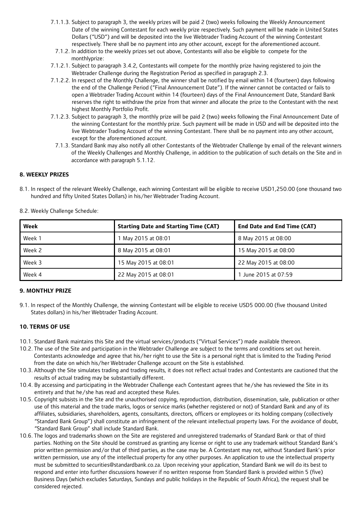- 7.1.1.3. Subject to paragraph 3, the weekly prizes will be paid 2 (two) weeks following the Weekly Announcement Date of the winning Contestant for each weekly prize respectively. Such payment will be made in United States Dollars ("USD") and will be deposited into the live Webtrader Trading Account of the winning Contestant respectively. There shall be no payment into any other account, except for the aforementioned account.
- 7.1.2. In addition to the weekly prizes set out above, Contestants will also be eligible to compete for the monthlyprize:
- 7.1.2.1. Subject to paragraph 3.4.2, Contestants will compete for the monthly prize having registered to join the Webtrader Challenge during the Registration Period as specified in paragraph 2.3.
- 7.1.2.2. In respect of the Monthly Challenge, the winner shall be notified by email within 14 (fourteen) days following the end of the Challenge Period ("Final Announcement Date"). If the winner cannot be contacted or fails to open a Webtrader Trading Account within 14 (fourteen) days of the Final Announcement Date, Standard Bank reserves the right to withdraw the prize from that winner and allocate the prize to the Contestant with the next highest Monthly Portfolio Profit.
- 7.1.2.3. Subject to paragraph 3, the monthly prize will be paid 2 (two) weeks following the Final Announcement Date of the winning Contestant for the monthly prize. Such payment will be made in USD and will be deposited into the live Webtrader Trading Account of the winning Contestant. There shall be no payment into any other account, except for the aforementioned account.
	- 7.1.3. Standard Bank may also notify all other Contestants of the Webtrader Challenge by email of the relevant winners of the Weekly Challenges and Monthly Challenge, in addition to the publication of such details on the Site and in accordance with paragraph 5.1.12.

#### **8. WEEKLY PRIZES**

8.1. In respect of the relevant Weekly Challenge, each winning Contestant will be eligible to receive USD1,250.00 (one thousand two hundred and fifty United States Dollars) in his/her Webtrader Trading Account.

| Week   | <b>Starting Date and Starting Time (CAT)</b> | <b>End Date and End Time (CAT)</b> |
|--------|----------------------------------------------|------------------------------------|
| Week 1 | 1 May 2015 at 08:01                          | 8 May 2015 at 08:00                |
| Week 2 | 8 May 2015 at 08:01                          | 15 May 2015 at 08:00               |
| Week 3 | 15 May 2015 at 08:01                         | 22 May 2015 at 08:00               |
| Week 4 | 22 May 2015 at 08:01                         | 1 June 2015 at 07:59               |

8.2. Weekly Challenge Schedule:

# **9. MONTHLY PRIZE**

9.1. In respect of the Monthly Challenge, the winning Contestant will be eligible to receive USD5 000.00 (five thousand United States dollars) in his/her Webtrader Trading Account.

#### **10. TERMS OF USE**

- 10.1. Standard Bank maintains this Site and the virtual services/products ("Virtual Services") made available thereon.
- 10.2. The use of the Site and participation in the Webtrader Challenge are subject to the terms and conditions set out herein. Contestants acknowledge and agree that his/her right to use the Site is a personal right that is limited to the Trading Period from the date on which his/her Webtrader Challenge account on the Site is established.
- 10.3. Although the Site simulates trading and trading results, it does not reflect actual trades and Contestants are cautioned that the results of actual trading may be substantially different.
- 10.4. By accessing and participating in the Webtrader Challenge each Contestant agrees that he/she has reviewed the Site in its entirety and that he/she has read and accepted these Rules.
- 10.5. Copyright subsists in the Site and the unauthorised copying, reproduction, distribution, dissemination, sale, publication or other use of this material and the trade marks, logos or service marks (whether registered or not) of Standard Bank and any of its affiliates, subsidiaries, shareholders, agents, consultants, directors, officers or employees or its holding company (collectively "Standard Bank Group") shall constitute an infringement of the relevant intellectual property laws. For the avoidance of doubt, "Standard Bank Group" shall include Standard Bank.
- 10.6. The logos and trademarks shown on the Site are registered and unregistered trademarks of Standard Bank or that of third parties. Nothing on the Site should be construed as granting any license or right to use any trademark without Standard Bank's prior written permission and/or that of third parties, as the case may be. A Contestant may not, without Standard Bank's prior written permission, use any of the intellectual property for any other purposes. An application to use the intellectual property must be submitted to securities@standardbank.co.za. Upon receiving your application, Standard Bank we will do its best to respond and enter into further discussions however if no written response from Standard Bank is provided within 5 (five) Business Days (which excludes Saturdays, Sundays and public holidays in the Republic of South Africa), the request shall be considered rejected.